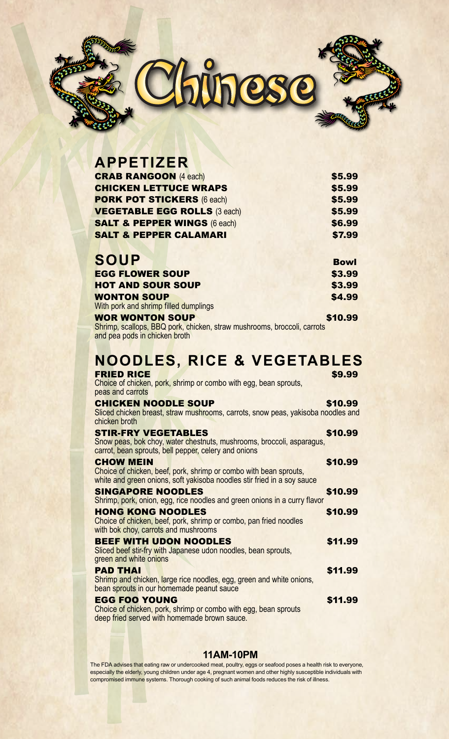

| <b>APPETIZER</b>                                            |             |
|-------------------------------------------------------------|-------------|
| <b>CRAB RANGOON (4 each)</b>                                | \$5.99      |
| <b>CHICKEN LETTUCE WRAPS</b>                                | \$5.99      |
| <b>PORK POT STICKERS (6 each)</b>                           | \$5.99      |
| <b>VEGETABLE EGG ROLLS (3 each)</b>                         | \$5.99      |
| <b>SALT &amp; PEPPER WINGS (6 each)</b>                     | \$6.99      |
| <b>SALT &amp; PEPPER CALAMARI</b>                           | \$7.99      |
| <b>SOUP</b>                                                 | <b>Bowl</b> |
| <b>EGG FLOWER SOUP</b>                                      | \$3.99      |
| <b>HOT AND SOUR SOUP</b>                                    | \$3.99      |
| <b>WONTON SOUP</b><br>With pork and shrimp filled dumplings | \$4.99      |
|                                                             |             |

WOR WONTON SOUP \$10.99 Shrimp, scallops, BBQ pork, chicken, straw mushrooms, broccoli, carrots and pea pods in chicken broth

## **NOODLES, RICE & VEGETABLES**

| <b>CHICKEN NOODLE SOUP</b><br>\$10.99<br>Sliced chicken breast, straw mushrooms, carrots, snow peas, yakisoba noodles and                                                   | \$9.99 |
|-----------------------------------------------------------------------------------------------------------------------------------------------------------------------------|--------|
| chicken broth                                                                                                                                                               |        |
| \$10.99<br><b>STIR-FRY VEGETABLES</b><br>Snow peas, bok choy, water chestnuts, mushrooms, broccoli, asparagus,<br>carrot, bean sprouts, bell pepper, celery and onions      |        |
| \$10.99<br><b>CHOW MEIN</b><br>Choice of chicken, beef, pork, shrimp or combo with bean sprouts,<br>white and green onions, soft yakisoba noodles stir fried in a soy sauce |        |
| \$10.99<br><b>SINGAPORE NOODLES</b><br>Shrimp, pork, onion, egg, rice noodles and green onions in a curry flavor                                                            |        |
| <b>HONG KONG NOODLES</b><br>\$10.99<br>Choice of chicken, beef, pork, shrimp or combo, pan fried noodles<br>with bok choy, carrots and mushrooms                            |        |

## BEEF WITH UDON NOODLES \$11.99 Sliced beef stir-fry with Japanese udon noodles, bean sprouts, green and white onions **PAD THAI \$11.99** Shrimp and chicken, large rice noodles, egg, green and white onions, bean sprouts in our homemade peanut sauce EGG FOO YOUNG \$11.99

Choice of chicken, pork, shrimp or combo with egg, bean sprouts deep fried served with homemade brown sauce.

## **11AM-10PM**

The FDA advises that eating raw or undercooked meat, poultry, eggs or seafood poses a health risk to everyone, especially the elderly, young children under age 4, pregnant women and other highly susceptible individuals with compromised immune systems. Thorough cooking of such animal foods reduces the risk of illness.